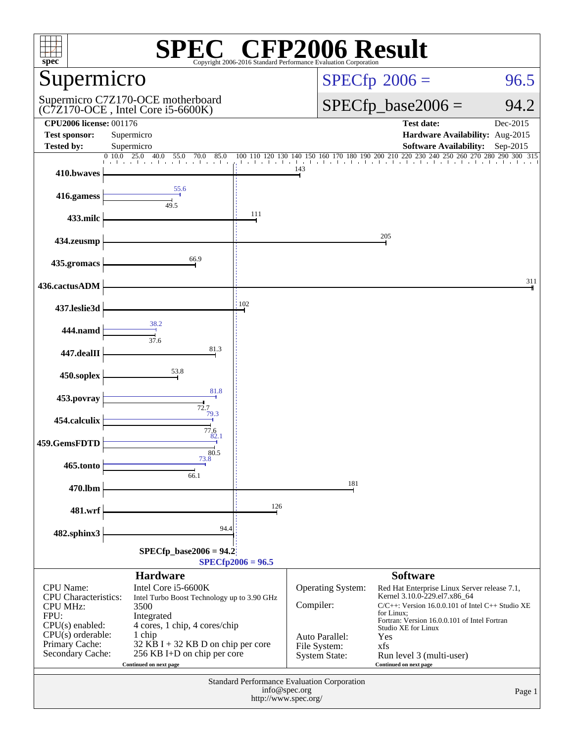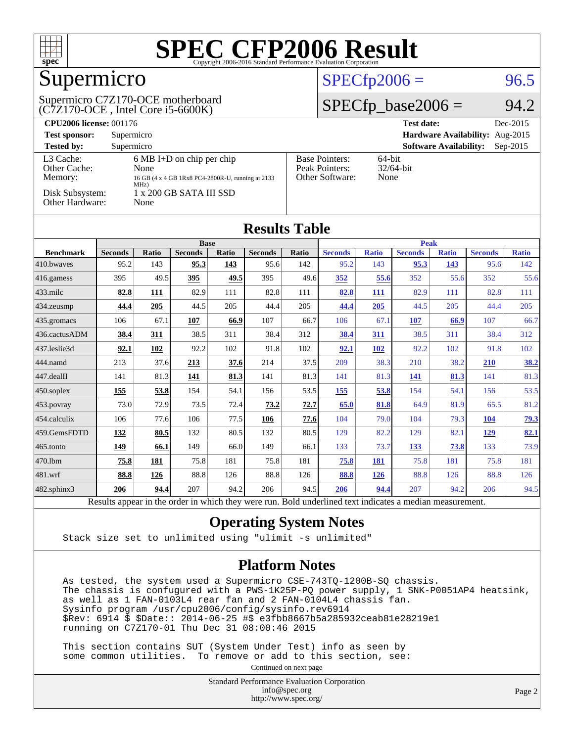

## Supermicro

#### (C7Z170-OCE , Intel Core i5-6600K) Supermicro C7Z170-OCE motherboard

#### $SPECTp2006 = 96.5$

#### $SPECfp\_base2006 = 94.2$

| <b>CPU2006 license: 001176</b>       |                                                                                                          |                                                            | Dec-2015<br><b>Test date:</b>               |  |  |
|--------------------------------------|----------------------------------------------------------------------------------------------------------|------------------------------------------------------------|---------------------------------------------|--|--|
| <b>Test sponsor:</b>                 | Supermicro                                                                                               | Hardware Availability: Aug-2015                            |                                             |  |  |
| <b>Tested by:</b>                    | Supermicro                                                                                               |                                                            | <b>Software Availability:</b><br>$Sep-2015$ |  |  |
| L3 Cache:<br>Other Cache:<br>Memory: | $6 \text{ MB I+D}$ on chip per chip<br>None<br>16 GB (4 x 4 GB 1Rx8 PC4-2800R-U, running at 2133<br>MHz) | <b>Base Pointers:</b><br>Peak Pointers:<br>Other Software: | $64$ -bit<br>$32/64$ -bit<br>None           |  |  |
| Disk Subsystem:<br>Other Hardware:   | $1 \times 200$ GB SATA III SSD<br>None                                                                   |                                                            |                                             |  |  |

| <b>Results Table</b>   |                                                                                                          |              |                |       |                |       |                |              |                |              |                |              |
|------------------------|----------------------------------------------------------------------------------------------------------|--------------|----------------|-------|----------------|-------|----------------|--------------|----------------|--------------|----------------|--------------|
|                        | <b>Base</b>                                                                                              |              |                |       |                |       | <b>Peak</b>    |              |                |              |                |              |
| <b>Benchmark</b>       | <b>Seconds</b>                                                                                           | <b>Ratio</b> | <b>Seconds</b> | Ratio | <b>Seconds</b> | Ratio | <b>Seconds</b> | <b>Ratio</b> | <b>Seconds</b> | <b>Ratio</b> | <b>Seconds</b> | <b>Ratio</b> |
| 410.bwayes             | 95.2                                                                                                     | 143          | 95.3           | 143   | 95.6           | 142   | 95.2           | 143          | 95.3           | 143          | 95.6           | 142          |
| $416$ .gamess          | 395                                                                                                      | 49.5         | 395            | 49.5  | 395            | 49.6  | 352            | 55.6         | 352            | 55.6         | 352            | 55.6         |
| $433$ .milc            | 82.8                                                                                                     | 111          | 82.9           | 111   | 82.8           | 111   | 82.8           | 111          | 82.9           | 111          | 82.8           | 111          |
| 434.zeusmp             | 44.4                                                                                                     | 205          | 44.5           | 205   | 44.4           | 205   | 44.4           | 205          | 44.5           | 205          | 44.4           | 205          |
| 435.gromacs            | 106                                                                                                      | 67.1         | 107            | 66.9  | 107            | 66.7  | 106            | 67.1         | 107            | 66.9         | 107            | 66.7         |
| 436.cactusADM          | 38.4                                                                                                     | 311          | 38.5           | 311   | 38.4           | 312   | 38.4           | <b>311</b>   | 38.5           | 311          | 38.4           | 312          |
| 437.leslie3d           | 92.1                                                                                                     | 102          | 92.2           | 102   | 91.8           | 102   | 92.1           | 102          | 92.2           | 102          | 91.8           | 102          |
| 444.namd               | 213                                                                                                      | 37.6         | 213            | 37.6  | 214            | 37.5  | 209            | 38.3         | 210            | 38.2         | 210            | <u>38.2</u>  |
| $ 447 \text{.}$ dealII | 141                                                                                                      | 81.3         | <u>141</u>     | 81.3  | 141            | 81.3  | 141            | 81.3         | 141            | 81.3         | 141            | 81.3         |
| $450$ .soplex          | 155                                                                                                      | 53.8         | 154            | 54.1  | 156            | 53.5  | 155            | 53.8         | 154            | 54.1         | 156            | 53.5         |
| $453$ .povray          | 73.0                                                                                                     | 72.9         | 73.5           | 72.4  | 73.2           | 72.7  | 65.0           | 81.8         | 64.9           | 81.9         | 65.5           | 81.2         |
| 454.calculix           | 106                                                                                                      | 77.6         | 106            | 77.5  | 106            | 77.6  | 104            | 79.0         | 104            | 79.3         | 104            | <u>79.3</u>  |
| 459.GemsFDTD           | 132                                                                                                      | 80.5         | 132            | 80.5  | 132            | 80.5  | 129            | 82.2         | 129            | 82.1         | <u>129</u>     | 82.1         |
| $465$ .tonto           | 149                                                                                                      | 66.1         | 149            | 66.0  | 149            | 66.1  | 133            | 73.7         | 133            | 73.8         | 133            | 73.9         |
| 470.1bm                | 75.8                                                                                                     | 181          | 75.8           | 181   | 75.8           | 181   | 75.8           | 181          | 75.8           | 181          | 75.8           | 181          |
| 481.wrf                | 88.8                                                                                                     | 126          | 88.8           | 126   | 88.8           | 126   | 88.8           | 126          | 88.8           | 126          | 88.8           | 126          |
| 482.sphinx3            | 206                                                                                                      | 94.4         | 207            | 94.2  | 206            | 94.5  | 206            | 94.4         | 207            | 94.2         | 206            | 94.5         |
|                        | Results appear in the order in which they were run. Bold underlined text indicates a median measurement. |              |                |       |                |       |                |              |                |              |                |              |

#### **[Operating System Notes](http://www.spec.org/auto/cpu2006/Docs/result-fields.html#OperatingSystemNotes)**

Stack size set to unlimited using "ulimit -s unlimited"

#### **[Platform Notes](http://www.spec.org/auto/cpu2006/Docs/result-fields.html#PlatformNotes)**

 As tested, the system used a Supermicro CSE-743TQ-1200B-SQ chassis. The chassis is confugured with a PWS-1K25P-PQ power supply, 1 SNK-P0051AP4 heatsink, as well as 1 FAN-0103L4 rear fan and 2 FAN-0104L4 chassis fan. Sysinfo program /usr/cpu2006/config/sysinfo.rev6914 \$Rev: 6914 \$ \$Date:: 2014-06-25 #\$ e3fbb8667b5a285932ceab81e28219e1 running on C7Z170-01 Thu Dec 31 08:00:46 2015

 This section contains SUT (System Under Test) info as seen by some common utilities. To remove or add to this section, see:

Continued on next page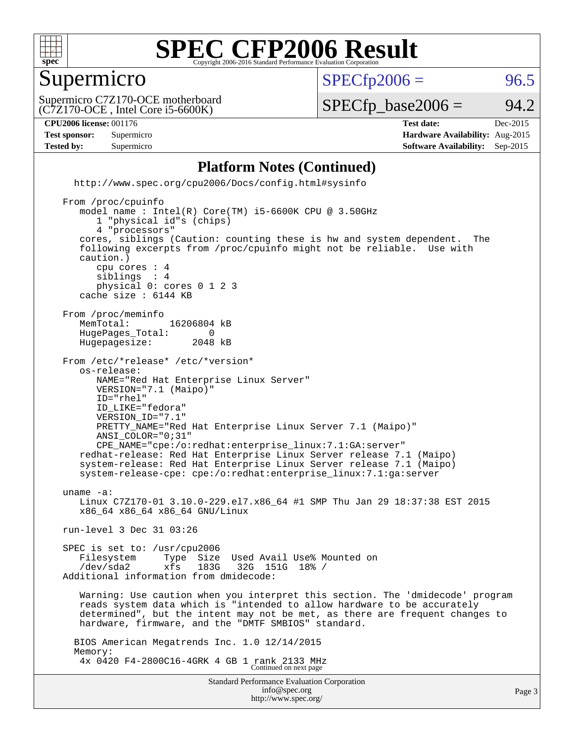

#### Supermicro

 $SPECTp2006 = 96.5$ 

(C7Z170-OCE , Intel Core i5-6600K) Supermicro C7Z170-OCE motherboard

 $SPECTp\_base2006 = 94.2$ 

#### **[CPU2006 license:](http://www.spec.org/auto/cpu2006/Docs/result-fields.html#CPU2006license)** 001176 **[Test date:](http://www.spec.org/auto/cpu2006/Docs/result-fields.html#Testdate)** Dec-2015

**[Test sponsor:](http://www.spec.org/auto/cpu2006/Docs/result-fields.html#Testsponsor)** Supermicro **[Hardware Availability:](http://www.spec.org/auto/cpu2006/Docs/result-fields.html#HardwareAvailability)** Aug-2015 **[Tested by:](http://www.spec.org/auto/cpu2006/Docs/result-fields.html#Testedby)** Supermicro **Supermicro [Software Availability:](http://www.spec.org/auto/cpu2006/Docs/result-fields.html#SoftwareAvailability)** Sep-2015

#### **[Platform Notes \(Continued\)](http://www.spec.org/auto/cpu2006/Docs/result-fields.html#PlatformNotes)**

 <http://www.spec.org/cpu2006/Docs/config.html#sysinfo> From /proc/cpuinfo model name : Intel(R) Core(TM) i5-6600K CPU @ 3.50GHz 1 "physical id"s (chips) 4 "processors" cores, siblings (Caution: counting these is hw and system dependent. The following excerpts from /proc/cpuinfo might not be reliable. Use with caution.) cpu cores : 4 siblings physical 0: cores 0 1 2 3 cache size : 6144 KB From /proc/meminfo

MemTotal: 16206804 kB<br>HugePages Total: 0 HugePages\_Total: 0 Hugepagesize: 2048 kB

From /etc/\*release\* /etc/\*version\*

 os-release: NAME="Red Hat Enterprise Linux Server" VERSION="7.1 (Maipo)" ID="rhel" ID\_LIKE="fedora" VERSION\_ID="7.1" PRETTY\_NAME="Red Hat Enterprise Linux Server 7.1 (Maipo)" ANSI\_COLOR="0;31" CPE\_NAME="cpe:/o:redhat:enterprise\_linux:7.1:GA:server" redhat-release: Red Hat Enterprise Linux Server release 7.1 (Maipo)

 system-release: Red Hat Enterprise Linux Server release 7.1 (Maipo) system-release-cpe: cpe:/o:redhat:enterprise\_linux:7.1:ga:server

 uname -a: Linux C7Z170-01 3.10.0-229.el7.x86\_64 #1 SMP Thu Jan 29 18:37:38 EST 2015 x86\_64 x86\_64 x86\_64 GNU/Linux

run-level 3 Dec 31 03:26

 SPEC is set to: /usr/cpu2006 Filesystem Type Size Used Avail Use% Mounted on<br>
/dev/sda2 xfs 183G 32G 151G 18% / /dev/sda2 xfs 183G 32G 151G 18% / Additional information from dmidecode:

 Warning: Use caution when you interpret this section. The 'dmidecode' program reads system data which is "intended to allow hardware to be accurately determined", but the intent may not be met, as there are frequent changes to hardware, firmware, and the "DMTF SMBIOS" standard.

 BIOS American Megatrends Inc. 1.0 12/14/2015 Memory: 4x 0420 F4-2800C16-4GRK 4 GB 1 rank 2133 MHz Continued on next page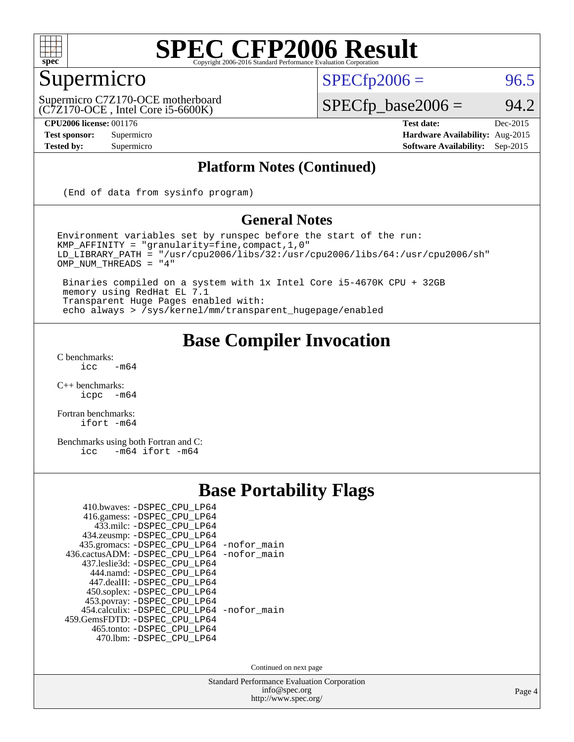

#### Supermicro

 $SPECTp2006 = 96.5$ 

(C7Z170-OCE , Intel Core i5-6600K) Supermicro C7Z170-OCE motherboard  $SPECfp\_base2006 = 94.2$ 

**[CPU2006 license:](http://www.spec.org/auto/cpu2006/Docs/result-fields.html#CPU2006license)** 001176 **[Test date:](http://www.spec.org/auto/cpu2006/Docs/result-fields.html#Testdate)** Dec-2015 **[Test sponsor:](http://www.spec.org/auto/cpu2006/Docs/result-fields.html#Testsponsor)** Supermicro **[Hardware Availability:](http://www.spec.org/auto/cpu2006/Docs/result-fields.html#HardwareAvailability)** Aug-2015 **[Tested by:](http://www.spec.org/auto/cpu2006/Docs/result-fields.html#Testedby)** Supermicro **Supermicro [Software Availability:](http://www.spec.org/auto/cpu2006/Docs/result-fields.html#SoftwareAvailability)** Sep-2015

#### **[Platform Notes \(Continued\)](http://www.spec.org/auto/cpu2006/Docs/result-fields.html#PlatformNotes)**

(End of data from sysinfo program)

#### **[General Notes](http://www.spec.org/auto/cpu2006/Docs/result-fields.html#GeneralNotes)**

Environment variables set by runspec before the start of the run: KMP\_AFFINITY = "granularity=fine,compact,1,0" LD\_LIBRARY\_PATH = "/usr/cpu2006/libs/32:/usr/cpu2006/libs/64:/usr/cpu2006/sh" OMP\_NUM\_THREADS = "4"

 Binaries compiled on a system with 1x Intel Core i5-4670K CPU + 32GB memory using RedHat EL 7.1 Transparent Huge Pages enabled with: echo always > /sys/kernel/mm/transparent\_hugepage/enabled

#### **[Base Compiler Invocation](http://www.spec.org/auto/cpu2006/Docs/result-fields.html#BaseCompilerInvocation)**

 $C$  benchmarks:<br>icc  $-m64$ 

[C++ benchmarks:](http://www.spec.org/auto/cpu2006/Docs/result-fields.html#CXXbenchmarks) [icpc -m64](http://www.spec.org/cpu2006/results/res2016q1/cpu2006-20160106-38548.flags.html#user_CXXbase_intel_icpc_64bit_bedb90c1146cab66620883ef4f41a67e)

[Fortran benchmarks](http://www.spec.org/auto/cpu2006/Docs/result-fields.html#Fortranbenchmarks): [ifort -m64](http://www.spec.org/cpu2006/results/res2016q1/cpu2006-20160106-38548.flags.html#user_FCbase_intel_ifort_64bit_ee9d0fb25645d0210d97eb0527dcc06e)

[Benchmarks using both Fortran and C](http://www.spec.org/auto/cpu2006/Docs/result-fields.html#BenchmarksusingbothFortranandC): [icc -m64](http://www.spec.org/cpu2006/results/res2016q1/cpu2006-20160106-38548.flags.html#user_CC_FCbase_intel_icc_64bit_0b7121f5ab7cfabee23d88897260401c) [ifort -m64](http://www.spec.org/cpu2006/results/res2016q1/cpu2006-20160106-38548.flags.html#user_CC_FCbase_intel_ifort_64bit_ee9d0fb25645d0210d97eb0527dcc06e)

#### **[Base Portability Flags](http://www.spec.org/auto/cpu2006/Docs/result-fields.html#BasePortabilityFlags)**

| 410.bwaves: -DSPEC CPU LP64                |  |
|--------------------------------------------|--|
| 416.gamess: -DSPEC_CPU_LP64                |  |
| 433.milc: -DSPEC CPU LP64                  |  |
| 434.zeusmp: -DSPEC_CPU_LP64                |  |
| 435.gromacs: -DSPEC_CPU_LP64 -nofor_main   |  |
| 436.cactusADM: -DSPEC CPU LP64 -nofor main |  |
| 437.leslie3d: -DSPEC CPU LP64              |  |
| 444.namd: - DSPEC_CPU_LP64                 |  |
| 447.dealII: -DSPEC CPU LP64                |  |
| 450.soplex: - DSPEC_CPU_LP64               |  |
| 453.povray: -DSPEC_CPU_LP64                |  |
| 454.calculix: -DSPEC_CPU_LP64 -nofor_main  |  |
| 459. GemsFDTD: - DSPEC CPU LP64            |  |
| 465.tonto: - DSPEC_CPU_LP64                |  |
| 470.1bm: - DSPEC CPU LP64                  |  |

Continued on next page

Standard Performance Evaluation Corporation [info@spec.org](mailto:info@spec.org) <http://www.spec.org/>

Page 4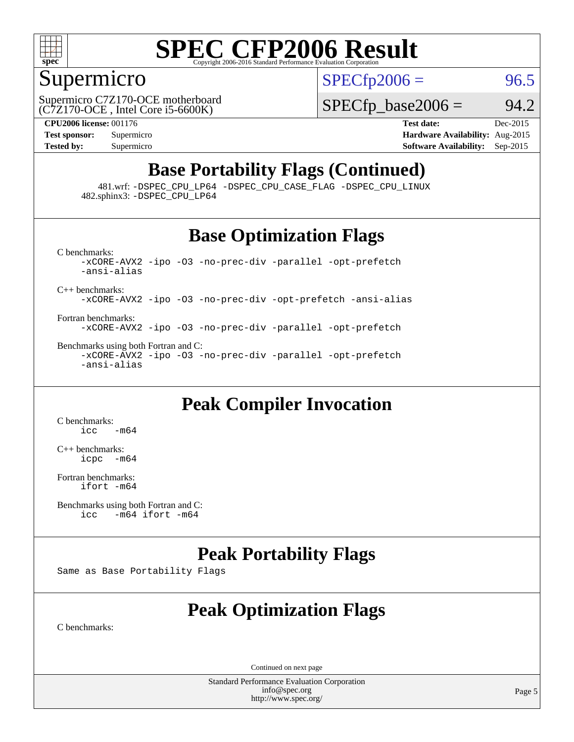

#### Supermicro

 $SPECTp2006 = 96.5$ 

(C7Z170-OCE , Intel Core i5-6600K) Supermicro C7Z170-OCE motherboard  $SPECTp\_base2006 = 94.2$ 

**[CPU2006 license:](http://www.spec.org/auto/cpu2006/Docs/result-fields.html#CPU2006license)** 001176 **[Test date:](http://www.spec.org/auto/cpu2006/Docs/result-fields.html#Testdate)** Dec-2015 **[Test sponsor:](http://www.spec.org/auto/cpu2006/Docs/result-fields.html#Testsponsor)** Supermicro **[Hardware Availability:](http://www.spec.org/auto/cpu2006/Docs/result-fields.html#HardwareAvailability)** Aug-2015 **[Tested by:](http://www.spec.org/auto/cpu2006/Docs/result-fields.html#Testedby)** Supermicro **[Software Availability:](http://www.spec.org/auto/cpu2006/Docs/result-fields.html#SoftwareAvailability)** Sep-2015

#### **[Base Portability Flags \(Continued\)](http://www.spec.org/auto/cpu2006/Docs/result-fields.html#BasePortabilityFlags)**

 481.wrf: [-DSPEC\\_CPU\\_LP64](http://www.spec.org/cpu2006/results/res2016q1/cpu2006-20160106-38548.flags.html#suite_basePORTABILITY481_wrf_DSPEC_CPU_LP64) [-DSPEC\\_CPU\\_CASE\\_FLAG](http://www.spec.org/cpu2006/results/res2016q1/cpu2006-20160106-38548.flags.html#b481.wrf_baseCPORTABILITY_DSPEC_CPU_CASE_FLAG) [-DSPEC\\_CPU\\_LINUX](http://www.spec.org/cpu2006/results/res2016q1/cpu2006-20160106-38548.flags.html#b481.wrf_baseCPORTABILITY_DSPEC_CPU_LINUX) 482.sphinx3: [-DSPEC\\_CPU\\_LP64](http://www.spec.org/cpu2006/results/res2016q1/cpu2006-20160106-38548.flags.html#suite_basePORTABILITY482_sphinx3_DSPEC_CPU_LP64)

#### **[Base Optimization Flags](http://www.spec.org/auto/cpu2006/Docs/result-fields.html#BaseOptimizationFlags)**

[C benchmarks](http://www.spec.org/auto/cpu2006/Docs/result-fields.html#Cbenchmarks): [-xCORE-AVX2](http://www.spec.org/cpu2006/results/res2016q1/cpu2006-20160106-38548.flags.html#user_CCbase_f-xAVX2_5f5fc0cbe2c9f62c816d3e45806c70d7) [-ipo](http://www.spec.org/cpu2006/results/res2016q1/cpu2006-20160106-38548.flags.html#user_CCbase_f-ipo) [-O3](http://www.spec.org/cpu2006/results/res2016q1/cpu2006-20160106-38548.flags.html#user_CCbase_f-O3) [-no-prec-div](http://www.spec.org/cpu2006/results/res2016q1/cpu2006-20160106-38548.flags.html#user_CCbase_f-no-prec-div) [-parallel](http://www.spec.org/cpu2006/results/res2016q1/cpu2006-20160106-38548.flags.html#user_CCbase_f-parallel) [-opt-prefetch](http://www.spec.org/cpu2006/results/res2016q1/cpu2006-20160106-38548.flags.html#user_CCbase_f-opt-prefetch) [-ansi-alias](http://www.spec.org/cpu2006/results/res2016q1/cpu2006-20160106-38548.flags.html#user_CCbase_f-ansi-alias) [C++ benchmarks:](http://www.spec.org/auto/cpu2006/Docs/result-fields.html#CXXbenchmarks) [-xCORE-AVX2](http://www.spec.org/cpu2006/results/res2016q1/cpu2006-20160106-38548.flags.html#user_CXXbase_f-xAVX2_5f5fc0cbe2c9f62c816d3e45806c70d7) [-ipo](http://www.spec.org/cpu2006/results/res2016q1/cpu2006-20160106-38548.flags.html#user_CXXbase_f-ipo) [-O3](http://www.spec.org/cpu2006/results/res2016q1/cpu2006-20160106-38548.flags.html#user_CXXbase_f-O3) [-no-prec-div](http://www.spec.org/cpu2006/results/res2016q1/cpu2006-20160106-38548.flags.html#user_CXXbase_f-no-prec-div) [-opt-prefetch](http://www.spec.org/cpu2006/results/res2016q1/cpu2006-20160106-38548.flags.html#user_CXXbase_f-opt-prefetch) [-ansi-alias](http://www.spec.org/cpu2006/results/res2016q1/cpu2006-20160106-38548.flags.html#user_CXXbase_f-ansi-alias)

[Fortran benchmarks](http://www.spec.org/auto/cpu2006/Docs/result-fields.html#Fortranbenchmarks): [-xCORE-AVX2](http://www.spec.org/cpu2006/results/res2016q1/cpu2006-20160106-38548.flags.html#user_FCbase_f-xAVX2_5f5fc0cbe2c9f62c816d3e45806c70d7) [-ipo](http://www.spec.org/cpu2006/results/res2016q1/cpu2006-20160106-38548.flags.html#user_FCbase_f-ipo) [-O3](http://www.spec.org/cpu2006/results/res2016q1/cpu2006-20160106-38548.flags.html#user_FCbase_f-O3) [-no-prec-div](http://www.spec.org/cpu2006/results/res2016q1/cpu2006-20160106-38548.flags.html#user_FCbase_f-no-prec-div) [-parallel](http://www.spec.org/cpu2006/results/res2016q1/cpu2006-20160106-38548.flags.html#user_FCbase_f-parallel) [-opt-prefetch](http://www.spec.org/cpu2006/results/res2016q1/cpu2006-20160106-38548.flags.html#user_FCbase_f-opt-prefetch)

[Benchmarks using both Fortran and C](http://www.spec.org/auto/cpu2006/Docs/result-fields.html#BenchmarksusingbothFortranandC): [-xCORE-AVX2](http://www.spec.org/cpu2006/results/res2016q1/cpu2006-20160106-38548.flags.html#user_CC_FCbase_f-xAVX2_5f5fc0cbe2c9f62c816d3e45806c70d7) [-ipo](http://www.spec.org/cpu2006/results/res2016q1/cpu2006-20160106-38548.flags.html#user_CC_FCbase_f-ipo) [-O3](http://www.spec.org/cpu2006/results/res2016q1/cpu2006-20160106-38548.flags.html#user_CC_FCbase_f-O3) [-no-prec-div](http://www.spec.org/cpu2006/results/res2016q1/cpu2006-20160106-38548.flags.html#user_CC_FCbase_f-no-prec-div) [-parallel](http://www.spec.org/cpu2006/results/res2016q1/cpu2006-20160106-38548.flags.html#user_CC_FCbase_f-parallel) [-opt-prefetch](http://www.spec.org/cpu2006/results/res2016q1/cpu2006-20160106-38548.flags.html#user_CC_FCbase_f-opt-prefetch) [-ansi-alias](http://www.spec.org/cpu2006/results/res2016q1/cpu2006-20160106-38548.flags.html#user_CC_FCbase_f-ansi-alias)

#### **[Peak Compiler Invocation](http://www.spec.org/auto/cpu2006/Docs/result-fields.html#PeakCompilerInvocation)**

[C benchmarks](http://www.spec.org/auto/cpu2006/Docs/result-fields.html#Cbenchmarks):  $\text{icc}$   $-\text{m64}$ 

[C++ benchmarks:](http://www.spec.org/auto/cpu2006/Docs/result-fields.html#CXXbenchmarks) [icpc -m64](http://www.spec.org/cpu2006/results/res2016q1/cpu2006-20160106-38548.flags.html#user_CXXpeak_intel_icpc_64bit_bedb90c1146cab66620883ef4f41a67e)

[Fortran benchmarks](http://www.spec.org/auto/cpu2006/Docs/result-fields.html#Fortranbenchmarks): [ifort -m64](http://www.spec.org/cpu2006/results/res2016q1/cpu2006-20160106-38548.flags.html#user_FCpeak_intel_ifort_64bit_ee9d0fb25645d0210d97eb0527dcc06e)

[Benchmarks using both Fortran and C](http://www.spec.org/auto/cpu2006/Docs/result-fields.html#BenchmarksusingbothFortranandC):<br>icc -m64 if ort -m64  $-m64$  ifort  $-m64$ 

#### **[Peak Portability Flags](http://www.spec.org/auto/cpu2006/Docs/result-fields.html#PeakPortabilityFlags)**

Same as Base Portability Flags

#### **[Peak Optimization Flags](http://www.spec.org/auto/cpu2006/Docs/result-fields.html#PeakOptimizationFlags)**

[C benchmarks](http://www.spec.org/auto/cpu2006/Docs/result-fields.html#Cbenchmarks):

Continued on next page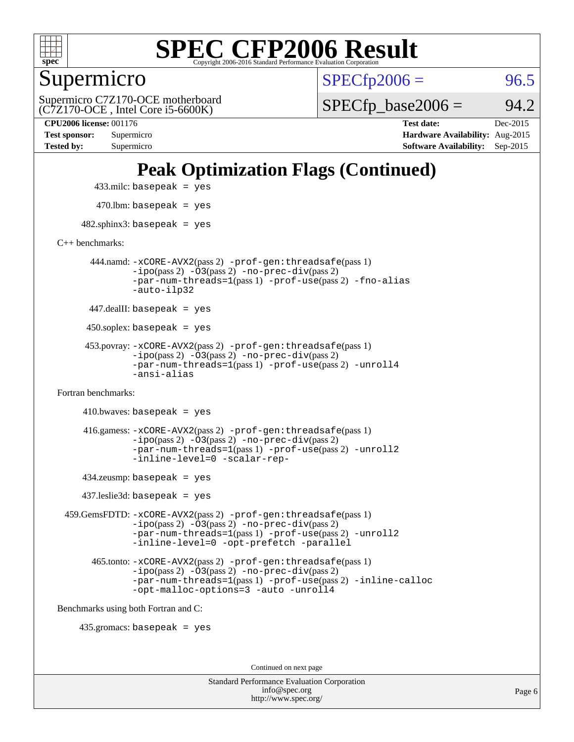

Supermicro

 $SPECTp2006 = 96.5$ 

(C7Z170-OCE , Intel Core i5-6600K) Supermicro C7Z170-OCE motherboard  $SPECTp\_base2006 = 94.2$ 

**[CPU2006 license:](http://www.spec.org/auto/cpu2006/Docs/result-fields.html#CPU2006license)** 001176 **[Test date:](http://www.spec.org/auto/cpu2006/Docs/result-fields.html#Testdate)** Dec-2015 **[Test sponsor:](http://www.spec.org/auto/cpu2006/Docs/result-fields.html#Testsponsor)** Supermicro **[Hardware Availability:](http://www.spec.org/auto/cpu2006/Docs/result-fields.html#HardwareAvailability)** Aug-2015 **[Tested by:](http://www.spec.org/auto/cpu2006/Docs/result-fields.html#Testedby)** Supermicro **[Software Availability:](http://www.spec.org/auto/cpu2006/Docs/result-fields.html#SoftwareAvailability)** Sep-2015

### **[Peak Optimization Flags \(Continued\)](http://www.spec.org/auto/cpu2006/Docs/result-fields.html#PeakOptimizationFlags)**

433.milc: basepeak = yes

 $470$ .lbm: basepeak = yes

 $482$ .sphinx3: basepeak = yes

[C++ benchmarks:](http://www.spec.org/auto/cpu2006/Docs/result-fields.html#CXXbenchmarks)

 444.namd: [-xCORE-AVX2](http://www.spec.org/cpu2006/results/res2016q1/cpu2006-20160106-38548.flags.html#user_peakPASS2_CXXFLAGSPASS2_LDFLAGS444_namd_f-xAVX2_5f5fc0cbe2c9f62c816d3e45806c70d7)(pass 2) [-prof-gen:threadsafe](http://www.spec.org/cpu2006/results/res2016q1/cpu2006-20160106-38548.flags.html#user_peakPASS1_CXXFLAGSPASS1_LDFLAGS444_namd_prof_gen_21a26eb79f378b550acd7bec9fe4467a)(pass 1) [-ipo](http://www.spec.org/cpu2006/results/res2016q1/cpu2006-20160106-38548.flags.html#user_peakPASS2_CXXFLAGSPASS2_LDFLAGS444_namd_f-ipo)(pass 2) [-O3](http://www.spec.org/cpu2006/results/res2016q1/cpu2006-20160106-38548.flags.html#user_peakPASS2_CXXFLAGSPASS2_LDFLAGS444_namd_f-O3)(pass 2) [-no-prec-div](http://www.spec.org/cpu2006/results/res2016q1/cpu2006-20160106-38548.flags.html#user_peakPASS2_CXXFLAGSPASS2_LDFLAGS444_namd_f-no-prec-div)(pass 2) [-par-num-threads=1](http://www.spec.org/cpu2006/results/res2016q1/cpu2006-20160106-38548.flags.html#user_peakPASS1_CXXFLAGSPASS1_LDFLAGS444_namd_par_num_threads_786a6ff141b4e9e90432e998842df6c2)(pass 1) [-prof-use](http://www.spec.org/cpu2006/results/res2016q1/cpu2006-20160106-38548.flags.html#user_peakPASS2_CXXFLAGSPASS2_LDFLAGS444_namd_prof_use_bccf7792157ff70d64e32fe3e1250b55)(pass 2) [-fno-alias](http://www.spec.org/cpu2006/results/res2016q1/cpu2006-20160106-38548.flags.html#user_peakCXXOPTIMIZEOPTIMIZE444_namd_f-no-alias_694e77f6c5a51e658e82ccff53a9e63a) [-auto-ilp32](http://www.spec.org/cpu2006/results/res2016q1/cpu2006-20160106-38548.flags.html#user_peakCXXOPTIMIZE444_namd_f-auto-ilp32)

447.dealII: basepeak = yes

 $450$ .soplex: basepeak = yes

 453.povray: [-xCORE-AVX2](http://www.spec.org/cpu2006/results/res2016q1/cpu2006-20160106-38548.flags.html#user_peakPASS2_CXXFLAGSPASS2_LDFLAGS453_povray_f-xAVX2_5f5fc0cbe2c9f62c816d3e45806c70d7)(pass 2) [-prof-gen:threadsafe](http://www.spec.org/cpu2006/results/res2016q1/cpu2006-20160106-38548.flags.html#user_peakPASS1_CXXFLAGSPASS1_LDFLAGS453_povray_prof_gen_21a26eb79f378b550acd7bec9fe4467a)(pass 1)  $-ipo(pass 2) -\overline{O3(pass 2)}$  $-ipo(pass 2) -\overline{O3(pass 2)}$  [-no-prec-div](http://www.spec.org/cpu2006/results/res2016q1/cpu2006-20160106-38548.flags.html#user_peakPASS2_CXXFLAGSPASS2_LDFLAGS453_povray_f-no-prec-div)(pass 2) [-par-num-threads=1](http://www.spec.org/cpu2006/results/res2016q1/cpu2006-20160106-38548.flags.html#user_peakPASS1_CXXFLAGSPASS1_LDFLAGS453_povray_par_num_threads_786a6ff141b4e9e90432e998842df6c2)(pass 1) [-prof-use](http://www.spec.org/cpu2006/results/res2016q1/cpu2006-20160106-38548.flags.html#user_peakPASS2_CXXFLAGSPASS2_LDFLAGS453_povray_prof_use_bccf7792157ff70d64e32fe3e1250b55)(pass 2) [-unroll4](http://www.spec.org/cpu2006/results/res2016q1/cpu2006-20160106-38548.flags.html#user_peakCXXOPTIMIZE453_povray_f-unroll_4e5e4ed65b7fd20bdcd365bec371b81f) [-ansi-alias](http://www.spec.org/cpu2006/results/res2016q1/cpu2006-20160106-38548.flags.html#user_peakCXXOPTIMIZE453_povray_f-ansi-alias)

[Fortran benchmarks](http://www.spec.org/auto/cpu2006/Docs/result-fields.html#Fortranbenchmarks):

 $410.bwaves: basepeak = yes$  416.gamess: [-xCORE-AVX2](http://www.spec.org/cpu2006/results/res2016q1/cpu2006-20160106-38548.flags.html#user_peakPASS2_FFLAGSPASS2_LDFLAGS416_gamess_f-xAVX2_5f5fc0cbe2c9f62c816d3e45806c70d7)(pass 2) [-prof-gen:threadsafe](http://www.spec.org/cpu2006/results/res2016q1/cpu2006-20160106-38548.flags.html#user_peakPASS1_FFLAGSPASS1_LDFLAGS416_gamess_prof_gen_21a26eb79f378b550acd7bec9fe4467a)(pass 1)  $-i\text{po}(pass 2) -\tilde{O}3(pass 2)$  [-no-prec-div](http://www.spec.org/cpu2006/results/res2016q1/cpu2006-20160106-38548.flags.html#user_peakPASS2_FFLAGSPASS2_LDFLAGS416_gamess_f-no-prec-div)(pass 2) [-par-num-threads=1](http://www.spec.org/cpu2006/results/res2016q1/cpu2006-20160106-38548.flags.html#user_peakPASS1_FFLAGSPASS1_LDFLAGS416_gamess_par_num_threads_786a6ff141b4e9e90432e998842df6c2)(pass 1) [-prof-use](http://www.spec.org/cpu2006/results/res2016q1/cpu2006-20160106-38548.flags.html#user_peakPASS2_FFLAGSPASS2_LDFLAGS416_gamess_prof_use_bccf7792157ff70d64e32fe3e1250b55)(pass 2) [-unroll2](http://www.spec.org/cpu2006/results/res2016q1/cpu2006-20160106-38548.flags.html#user_peakOPTIMIZE416_gamess_f-unroll_784dae83bebfb236979b41d2422d7ec2) [-inline-level=0](http://www.spec.org/cpu2006/results/res2016q1/cpu2006-20160106-38548.flags.html#user_peakOPTIMIZE416_gamess_f-inline-level_318d07a09274ad25e8d15dbfaa68ba50) [-scalar-rep-](http://www.spec.org/cpu2006/results/res2016q1/cpu2006-20160106-38548.flags.html#user_peakOPTIMIZE416_gamess_f-disablescalarrep_abbcad04450fb118e4809c81d83c8a1d)

434.zeusmp: basepeak = yes

437.leslie3d: basepeak = yes

 459.GemsFDTD: [-xCORE-AVX2](http://www.spec.org/cpu2006/results/res2016q1/cpu2006-20160106-38548.flags.html#user_peakPASS2_FFLAGSPASS2_LDFLAGS459_GemsFDTD_f-xAVX2_5f5fc0cbe2c9f62c816d3e45806c70d7)(pass 2) [-prof-gen:threadsafe](http://www.spec.org/cpu2006/results/res2016q1/cpu2006-20160106-38548.flags.html#user_peakPASS1_FFLAGSPASS1_LDFLAGS459_GemsFDTD_prof_gen_21a26eb79f378b550acd7bec9fe4467a)(pass 1) [-ipo](http://www.spec.org/cpu2006/results/res2016q1/cpu2006-20160106-38548.flags.html#user_peakPASS2_FFLAGSPASS2_LDFLAGS459_GemsFDTD_f-ipo)(pass 2) [-O3](http://www.spec.org/cpu2006/results/res2016q1/cpu2006-20160106-38548.flags.html#user_peakPASS2_FFLAGSPASS2_LDFLAGS459_GemsFDTD_f-O3)(pass 2) [-no-prec-div](http://www.spec.org/cpu2006/results/res2016q1/cpu2006-20160106-38548.flags.html#user_peakPASS2_FFLAGSPASS2_LDFLAGS459_GemsFDTD_f-no-prec-div)(pass 2) [-par-num-threads=1](http://www.spec.org/cpu2006/results/res2016q1/cpu2006-20160106-38548.flags.html#user_peakPASS1_FFLAGSPASS1_LDFLAGS459_GemsFDTD_par_num_threads_786a6ff141b4e9e90432e998842df6c2)(pass 1) [-prof-use](http://www.spec.org/cpu2006/results/res2016q1/cpu2006-20160106-38548.flags.html#user_peakPASS2_FFLAGSPASS2_LDFLAGS459_GemsFDTD_prof_use_bccf7792157ff70d64e32fe3e1250b55)(pass 2) [-unroll2](http://www.spec.org/cpu2006/results/res2016q1/cpu2006-20160106-38548.flags.html#user_peakOPTIMIZE459_GemsFDTD_f-unroll_784dae83bebfb236979b41d2422d7ec2) [-inline-level=0](http://www.spec.org/cpu2006/results/res2016q1/cpu2006-20160106-38548.flags.html#user_peakOPTIMIZE459_GemsFDTD_f-inline-level_318d07a09274ad25e8d15dbfaa68ba50) [-opt-prefetch](http://www.spec.org/cpu2006/results/res2016q1/cpu2006-20160106-38548.flags.html#user_peakOPTIMIZE459_GemsFDTD_f-opt-prefetch) [-parallel](http://www.spec.org/cpu2006/results/res2016q1/cpu2006-20160106-38548.flags.html#user_peakOPTIMIZE459_GemsFDTD_f-parallel)

 465.tonto: [-xCORE-AVX2](http://www.spec.org/cpu2006/results/res2016q1/cpu2006-20160106-38548.flags.html#user_peakPASS2_FFLAGSPASS2_LDFLAGS465_tonto_f-xAVX2_5f5fc0cbe2c9f62c816d3e45806c70d7)(pass 2) [-prof-gen:threadsafe](http://www.spec.org/cpu2006/results/res2016q1/cpu2006-20160106-38548.flags.html#user_peakPASS1_FFLAGSPASS1_LDFLAGS465_tonto_prof_gen_21a26eb79f378b550acd7bec9fe4467a)(pass 1)  $-i\text{po}(pass 2) -\overline{0}3(pass 2) -no-prec-div(pass 2)$  $-i\text{po}(pass 2) -\overline{0}3(pass 2) -no-prec-div(pass 2)$  $-i\text{po}(pass 2) -\overline{0}3(pass 2) -no-prec-div(pass 2)$ [-par-num-threads=1](http://www.spec.org/cpu2006/results/res2016q1/cpu2006-20160106-38548.flags.html#user_peakPASS1_FFLAGSPASS1_LDFLAGS465_tonto_par_num_threads_786a6ff141b4e9e90432e998842df6c2)(pass 1) [-prof-use](http://www.spec.org/cpu2006/results/res2016q1/cpu2006-20160106-38548.flags.html#user_peakPASS2_FFLAGSPASS2_LDFLAGS465_tonto_prof_use_bccf7792157ff70d64e32fe3e1250b55)(pass 2) [-inline-calloc](http://www.spec.org/cpu2006/results/res2016q1/cpu2006-20160106-38548.flags.html#user_peakOPTIMIZE465_tonto_f-inline-calloc) [-opt-malloc-options=3](http://www.spec.org/cpu2006/results/res2016q1/cpu2006-20160106-38548.flags.html#user_peakOPTIMIZE465_tonto_f-opt-malloc-options_13ab9b803cf986b4ee62f0a5998c2238) [-auto](http://www.spec.org/cpu2006/results/res2016q1/cpu2006-20160106-38548.flags.html#user_peakOPTIMIZE465_tonto_f-auto) [-unroll4](http://www.spec.org/cpu2006/results/res2016q1/cpu2006-20160106-38548.flags.html#user_peakOPTIMIZE465_tonto_f-unroll_4e5e4ed65b7fd20bdcd365bec371b81f)

[Benchmarks using both Fortran and C](http://www.spec.org/auto/cpu2006/Docs/result-fields.html#BenchmarksusingbothFortranandC):

435.gromacs: basepeak = yes

Continued on next page